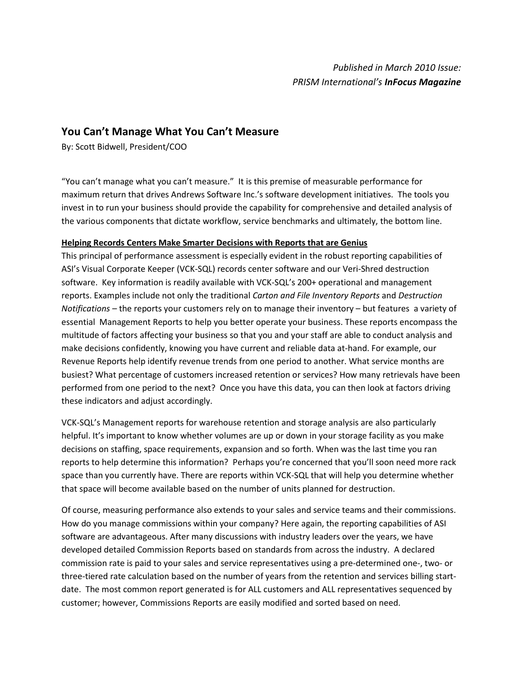# **You Can't Manage What You Can't Measure**

By: Scott Bidwell, President/COO

"You can't manage what you can't measure." It is this premise of measurable performance for maximum return that drives Andrews Software Inc.'s software development initiatives. The tools you invest in to run your business should provide the capability for comprehensive and detailed analysis of the various components that dictate workflow, service benchmarks and ultimately, the bottom line.

### **Helping Records Centers Make Smarter Decisions with Reports that are Genius**

This principal of performance assessment is especially evident in the robust reporting capabilities of ASI's Visual Corporate Keeper (VCK-SQL) records center software and our Veri-Shred destruction software. Key information is readily available with VCK-SQL's 200+ operational and management reports. Examples include not only the traditional *Carton and File Inventory Reports* and *Destruction Notifications –* the reports your customers rely on to manage their inventory – but features a variety of essential Management Reports to help you better operate your business. These reports encompass the multitude of factors affecting your business so that you and your staff are able to conduct analysis and make decisions confidently, knowing you have current and reliable data at-hand. For example, our Revenue Reports help identify revenue trends from one period to another. What service months are busiest? What percentage of customers increased retention or services? How many retrievals have been performed from one period to the next? Once you have this data, you can then look at factors driving these indicators and adjust accordingly.

VCK-SQL's Management reports for warehouse retention and storage analysis are also particularly helpful. It's important to know whether volumes are up or down in your storage facility as you make decisions on staffing, space requirements, expansion and so forth. When was the last time you ran reports to help determine this information? Perhaps you're concerned that you'll soon need more rack space than you currently have. There are reports within VCK-SQL that will help you determine whether that space will become available based on the number of units planned for destruction.

Of course, measuring performance also extends to your sales and service teams and their commissions. How do you manage commissions within your company? Here again, the reporting capabilities of ASI software are advantageous. After many discussions with industry leaders over the years, we have developed detailed Commission Reports based on standards from across the industry. A declared commission rate is paid to your sales and service representatives using a pre-determined one-, two- or three-tiered rate calculation based on the number of years from the retention and services billing startdate. The most common report generated is for ALL customers and ALL representatives sequenced by customer; however, Commissions Reports are easily modified and sorted based on need.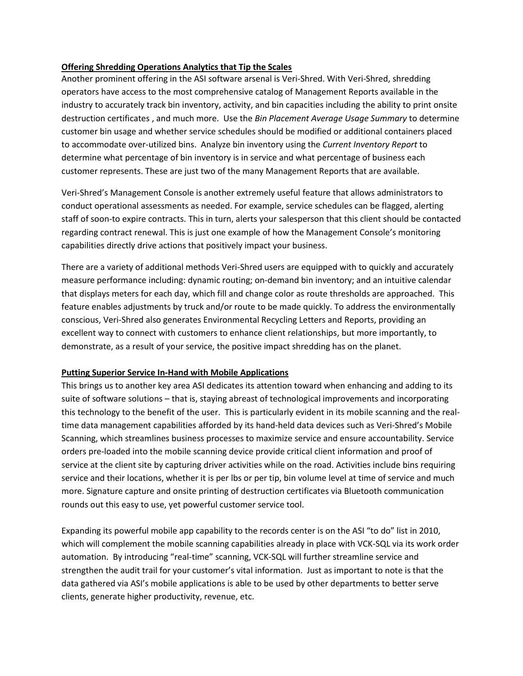## **Offering Shredding Operations Analytics that Tip the Scales**

Another prominent offering in the ASI software arsenal is Veri-Shred. With Veri-Shred, shredding operators have access to the most comprehensive catalog of Management Reports available in the industry to accurately track bin inventory, activity, and bin capacities including the ability to print onsite destruction certificates , and much more. Use the *Bin Placement Average Usage Summary* to determine customer bin usage and whether service schedules should be modified or additional containers placed to accommodate over-utilized bins. Analyze bin inventory using the *Current Inventory Report* to determine what percentage of bin inventory is in service and what percentage of business each customer represents. These are just two of the many Management Reports that are available.

Veri-Shred's Management Console is another extremely useful feature that allows administrators to conduct operational assessments as needed. For example, service schedules can be flagged, alerting staff of soon-to expire contracts. This in turn, alerts your salesperson that this client should be contacted regarding contract renewal. This is just one example of how the Management Console's monitoring capabilities directly drive actions that positively impact your business.

There are a variety of additional methods Veri-Shred users are equipped with to quickly and accurately measure performance including: dynamic routing; on-demand bin inventory; and an intuitive calendar that displays meters for each day, which fill and change color as route thresholds are approached. This feature enables adjustments by truck and/or route to be made quickly. To address the environmentally conscious, Veri-Shred also generates Environmental Recycling Letters and Reports, providing an excellent way to connect with customers to enhance client relationships, but more importantly, to demonstrate, as a result of your service, the positive impact shredding has on the planet.

### **Putting Superior Service In-Hand with Mobile Applications**

This brings us to another key area ASI dedicates its attention toward when enhancing and adding to its suite of software solutions – that is, staying abreast of technological improvements and incorporating this technology to the benefit of the user. This is particularly evident in its mobile scanning and the realtime data management capabilities afforded by its hand-held data devices such as Veri-Shred's Mobile Scanning, which streamlines business processes to maximize service and ensure accountability. Service orders pre-loaded into the mobile scanning device provide critical client information and proof of service at the client site by capturing driver activities while on the road. Activities include bins requiring service and their locations, whether it is per lbs or per tip, bin volume level at time of service and much more. Signature capture and onsite printing of destruction certificates via Bluetooth communication rounds out this easy to use, yet powerful customer service tool.

Expanding its powerful mobile app capability to the records center is on the ASI "to do" list in 2010, which will complement the mobile scanning capabilities already in place with VCK-SQL via its work order automation. By introducing "real-time" scanning, VCK-SQL will further streamline service and strengthen the audit trail for your customer's vital information. Just as important to note is that the data gathered via ASI's mobile applications is able to be used by other departments to better serve clients, generate higher productivity, revenue, etc.